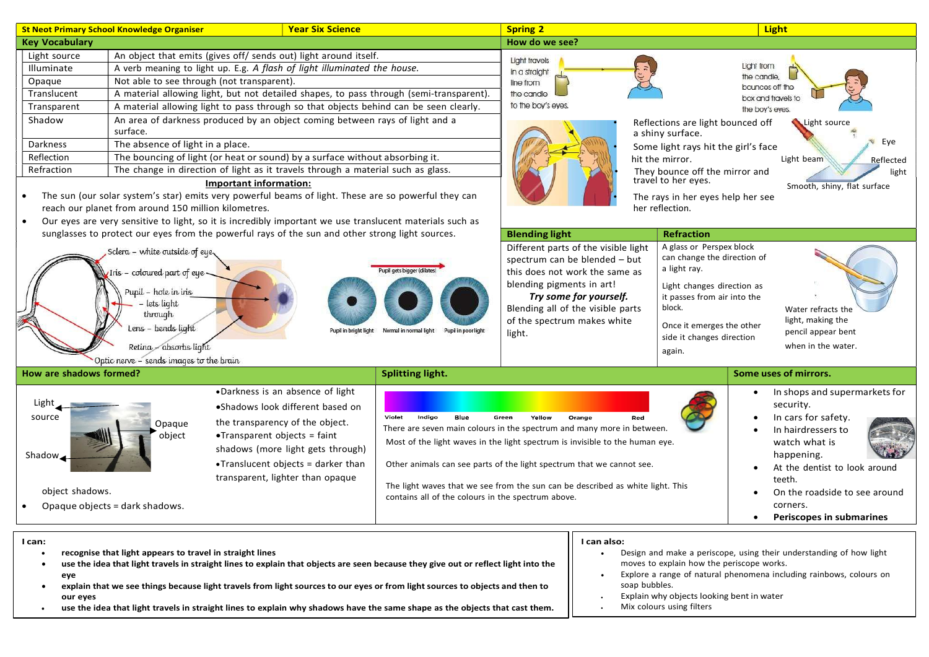|                                                                                                                                                                                                                                                                                                                                                                                                                                                              | <b>St Neot Primary School Knowledge Organiser</b>                                                                                                                                                                                                                                                                                                                                                                                                                                                                                                                                                                                                                                                                                                                                                                                                                                                                                                                                                                                                                                                                                                                                                                   | <b>Year Six Science</b> |                         | <b>Spring 2</b>                                                                                                                                                                                                                                                                                                            |                                                                                                                                                                          |                                                                                                                                                                                                                                                                                                                                                                                                                                                                                                                                                                                                                                                             | <b>Light</b>                                                           |                                                                                                                                                                                                         |  |
|--------------------------------------------------------------------------------------------------------------------------------------------------------------------------------------------------------------------------------------------------------------------------------------------------------------------------------------------------------------------------------------------------------------------------------------------------------------|---------------------------------------------------------------------------------------------------------------------------------------------------------------------------------------------------------------------------------------------------------------------------------------------------------------------------------------------------------------------------------------------------------------------------------------------------------------------------------------------------------------------------------------------------------------------------------------------------------------------------------------------------------------------------------------------------------------------------------------------------------------------------------------------------------------------------------------------------------------------------------------------------------------------------------------------------------------------------------------------------------------------------------------------------------------------------------------------------------------------------------------------------------------------------------------------------------------------|-------------------------|-------------------------|----------------------------------------------------------------------------------------------------------------------------------------------------------------------------------------------------------------------------------------------------------------------------------------------------------------------------|--------------------------------------------------------------------------------------------------------------------------------------------------------------------------|-------------------------------------------------------------------------------------------------------------------------------------------------------------------------------------------------------------------------------------------------------------------------------------------------------------------------------------------------------------------------------------------------------------------------------------------------------------------------------------------------------------------------------------------------------------------------------------------------------------------------------------------------------------|------------------------------------------------------------------------|---------------------------------------------------------------------------------------------------------------------------------------------------------------------------------------------------------|--|
| <b>Key Vocabulary</b>                                                                                                                                                                                                                                                                                                                                                                                                                                        |                                                                                                                                                                                                                                                                                                                                                                                                                                                                                                                                                                                                                                                                                                                                                                                                                                                                                                                                                                                                                                                                                                                                                                                                                     |                         |                         | How do we see?                                                                                                                                                                                                                                                                                                             |                                                                                                                                                                          |                                                                                                                                                                                                                                                                                                                                                                                                                                                                                                                                                                                                                                                             |                                                                        |                                                                                                                                                                                                         |  |
| Light source<br>Illuminate<br>Opaque<br>Translucent<br>Transparent<br>Shadow<br>Darkness<br>Reflection<br>Refraction<br>$\bullet$                                                                                                                                                                                                                                                                                                                            | An object that emits (gives off/ sends out) light around itself.<br>A verb meaning to light up. E.g. A flash of light illuminated the house.<br>Not able to see through (not transparent).<br>A material allowing light, but not detailed shapes, to pass through (semi-transparent).<br>A material allowing light to pass through so that objects behind can be seen clearly.<br>An area of darkness produced by an object coming between rays of light and a<br>surface.<br>The absence of light in a place.<br>The bouncing of light (or heat or sound) by a surface without absorbing it.<br>The change in direction of light as it travels through a material such as glass.<br><b>Important information:</b><br>The sun (our solar system's star) emits very powerful beams of light. These are so powerful they can<br>reach our planet from around 150 million kilometres.<br>Our eyes are very sensitive to light, so it is incredibly important we use translucent materials such as<br>sunglasses to protect our eyes from the powerful rays of the sun and other strong light sources.<br>Sclera - white outside of eye,<br>ris - coloured part of eye<br>Pupil - hole in iris<br>lets light<br>through |                         |                         | Liaht travels<br>in a straight<br>line from<br>the candle<br>to the boy's eyes.<br><b>Blending light</b><br>blending pigments in art!<br>of the spectrum makes white<br>light.                                                                                                                                             | Different parts of the visible light<br>spectrum can be blended $-$ but<br>this does not work the same as<br>Try some for yourself.<br>Blending all of the visible parts | Light from<br>the candle,<br>bounces off the<br>box and travels to<br>the boy's eyes.<br>Reflections are light bounced off<br>Light source<br>a shiny surface.<br>Some light rays hit the girl's face<br>Light beam<br>hit the mirror.<br>They bounce off the mirror and<br>travel to her eyes.<br>Smooth, shiny, flat surface<br>The rays in her eyes help her see<br>her reflection.<br><b>Refraction</b><br>A glass or Perspex block<br>can change the direction of<br>a light ray.<br>Light changes direction as<br>it passes from air into the<br>block.<br>Water refracts the<br>light, making the<br>Once it emerges the other<br>pencil appear bent |                                                                        | Eye<br>Reflected<br>light                                                                                                                                                                               |  |
| Retina - absorbs light<br>Optic nerve - sends images to the brain                                                                                                                                                                                                                                                                                                                                                                                            |                                                                                                                                                                                                                                                                                                                                                                                                                                                                                                                                                                                                                                                                                                                                                                                                                                                                                                                                                                                                                                                                                                                                                                                                                     |                         |                         |                                                                                                                                                                                                                                                                                                                            |                                                                                                                                                                          | side it changes direction<br>again.                                                                                                                                                                                                                                                                                                                                                                                                                                                                                                                                                                                                                         |                                                                        | when in the water.                                                                                                                                                                                      |  |
| How are shadows formed?                                                                                                                                                                                                                                                                                                                                                                                                                                      |                                                                                                                                                                                                                                                                                                                                                                                                                                                                                                                                                                                                                                                                                                                                                                                                                                                                                                                                                                                                                                                                                                                                                                                                                     |                         | <b>Splitting light.</b> |                                                                                                                                                                                                                                                                                                                            |                                                                                                                                                                          |                                                                                                                                                                                                                                                                                                                                                                                                                                                                                                                                                                                                                                                             | Some uses of mirrors.                                                  |                                                                                                                                                                                                         |  |
| .Darkness is an absence of light<br>Light<br>•Shadows look different based on<br>Violet<br>source<br>Indiao<br>the transparency of the object.<br>Opaque<br>$\bullet$ Transparent objects = faint<br>object<br>shadows (more light gets through)<br>Shadow <sub>4</sub><br>•Translucent objects = darker than<br>transparent, lighter than opaque<br>object shadows.<br>contains all of the colours in the spectrum above.<br>Opaque objects = dark shadows. |                                                                                                                                                                                                                                                                                                                                                                                                                                                                                                                                                                                                                                                                                                                                                                                                                                                                                                                                                                                                                                                                                                                                                                                                                     |                         |                         | Groor<br>There are seven main colours in the spectrum and many more in between.<br>Most of the light waves in the light spectrum is invisible to the human eye.<br>Other animals can see parts of the light spectrum that we cannot see.<br>The light waves that we see from the sun can be described as white light. This |                                                                                                                                                                          |                                                                                                                                                                                                                                                                                                                                                                                                                                                                                                                                                                                                                                                             | security.<br>$\bullet$<br>teeth.<br>$\bullet$<br>corners.<br>$\bullet$ | In shops and supermarkets for<br>In cars for safety.<br>In hairdressers to<br>watch what is<br>happening.<br>At the dentist to look around<br>On the roadside to see around<br>Periscopes in submarines |  |
| I can:                                                                                                                                                                                                                                                                                                                                                                                                                                                       |                                                                                                                                                                                                                                                                                                                                                                                                                                                                                                                                                                                                                                                                                                                                                                                                                                                                                                                                                                                                                                                                                                                                                                                                                     |                         |                         |                                                                                                                                                                                                                                                                                                                            | I can also:                                                                                                                                                              |                                                                                                                                                                                                                                                                                                                                                                                                                                                                                                                                                                                                                                                             |                                                                        |                                                                                                                                                                                                         |  |

- recognise that light appears to travel in straight lines
- use the idea that light travels in straight lines to explain that objects are seen because they give out or reflect light into the eye
- explain that we see things because light travels from light sources to our eyes or from light sources to objects and then to our eyes

• use the idea that light travels in straight lines to explain why shadows have the same shape as the objects that cast them.  $\blacksquare$ 

- Design and make a periscope, using their understanding of how light moves to explain how the periscope works.
- Explore a range of natural phenomena including rainbows, colours on soap bubbles.
- Explain why objects looking bent in water
- Mix colours using filters